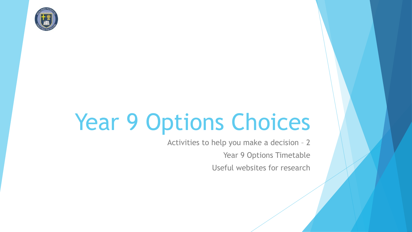

# Year 9 Options Choices

Activities to help you make a decision – 2 Year 9 Options Timetable Useful websites for research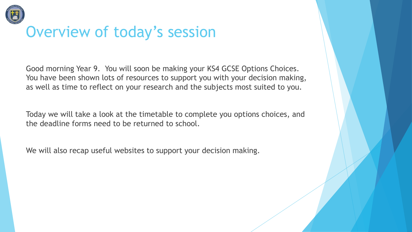

## Overview of today's session

Good morning Year 9. You will soon be making your KS4 GCSE Options Choices. You have been shown lots of resources to support you with your decision making, as well as time to reflect on your research and the subjects most suited to you.

Today we will take a look at the timetable to complete you options choices, and the deadline forms need to be returned to school.

We will also recap useful websites to support your decision making.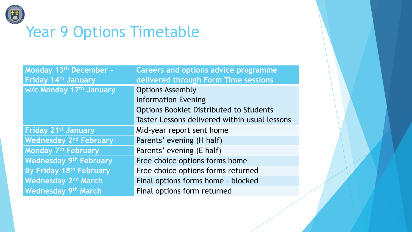

## Year 9 Options Timetable

| Monday 13th December -                   | <b>Careers and options advice programme</b>    |
|------------------------------------------|------------------------------------------------|
| Friday 14th January                      | delivered through Form Time sessions           |
| <b>W/c Monday 17th January</b>           | <b>Options Assembly</b>                        |
|                                          | <b>Information Evening</b>                     |
|                                          | <b>Options Booklet Distributed to Students</b> |
|                                          | Taster Lessons delivered within usual lessons  |
| <b>Friday 21st January</b>               | Mid-year report sent home                      |
| <b>Wednesday 2<sup>nd</sup> February</b> | Parents' evening (H half)                      |
| Monday 7 <sup>th</sup> February          | Parents' evening (E half)                      |
| <b>Wednesday 9th February</b>            | Free choice options forms home                 |
| By Friday 18th February                  | Free choice options forms returned             |
| <b>Wednesday 2nd March</b>               | Final options forms home - blocked             |
| <b>Wednesday 9th March</b>               | Final options form returned                    |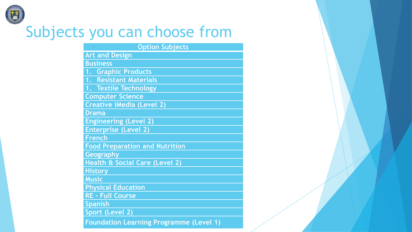

## Subjects you can choose from

| <b>Option Subjects</b>                |
|---------------------------------------|
| <b>Art and Design</b>                 |
| <b>Business</b>                       |
| 1. Graphic Products                   |
| 1. Resistant Materials                |
| 1. Textile Technology                 |
| <b>Computer Science</b>               |
| <b>Creative iMedia (Level 2)</b>      |
| <b>Drama</b>                          |
| <b>Engineering (Level 2)</b>          |
| <b>Enterprise (Level 2)</b>           |
| <b>French</b>                         |
| <b>Food Preparation and Nutrition</b> |
| <b>Geography</b>                      |
| Health & Social Care (Level 2)        |
| <b>History</b>                        |
| <b>Music</b>                          |
| <b>Physical Education</b>             |
| <b>RE - Full Course</b>               |
| <b>Spanish</b>                        |
| Sport (Level 2)                       |
|                                       |

**Foundation Learning Programme (Level 1)**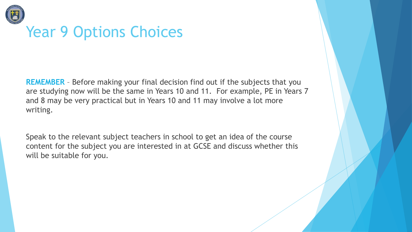

## Year 9 Options Choices

**REMEMBER** – Before making your final decision find out if the subjects that you are studying now will be the same in Years 10 and 11. For example, PE in Years 7 and 8 may be very practical but in Years 10 and 11 may involve a lot more writing.

Speak to the relevant subject teachers in school to get an idea of the course content for the subject you are interested in at GCSE and discuss whether this will be suitable for you.